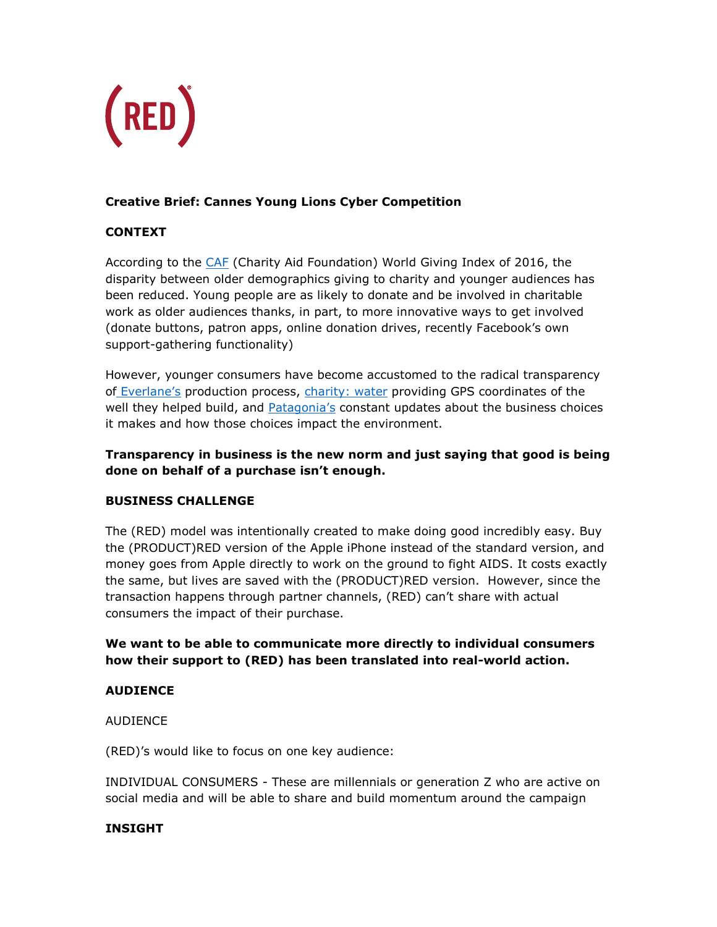

# **Creative Brief: Cannes Young Lions Cyber Competition**

## **CONTEXT**

According to the *CAF* (Charity Aid Foundation) World Giving Index of 2016, the disparity between older demographics giving to charity and younger audiences has been reduced. Young people are as likely to donate and be involved in charitable work as older audiences thanks, in part, to more innovative ways to get involved (donate buttons, patron apps, online donation drives, recently Facebook's own support-gathering functionality)

However, younger consumers have become accustomed to the radical transparency of [Everlane's](https://www.everlane.com/about) production process, [charity: water](https://www.charitywater.org/) providing GPS coordinates of the well they helped build, and **[Patagonia's](http://eu.patagonia.com/enGB/patagonia.go?assetid=8952)** constant updates about the business choices it makes and how those choices impact the environment.

## **Transparency in business is the new norm and just saying that good is being done on behalf of a purchase isn't enough.**

#### **BUSINESS CHALLENGE**

The (RED) model was intentionally created to make doing good incredibly easy. Buy the (PRODUCT)RED version of the Apple iPhone instead of the standard version, and money goes from Apple directly to work on the ground to fight AIDS. It costs exactly the same, but lives are saved with the (PRODUCT)RED version. However, since the transaction happens through partner channels, (RED) can't share with actual consumers the impact of their purchase.

## **We want to be able to communicate more directly to individual consumers how their support to (RED) has been translated into real-world action.**

#### **AUDIENCE**

AUDIENCE

(RED)'s would like to focus on one key audience:

INDIVIDUAL CONSUMERS - These are millennials or generation Z who are active on social media and will be able to share and build momentum around the campaign

#### **INSIGHT**